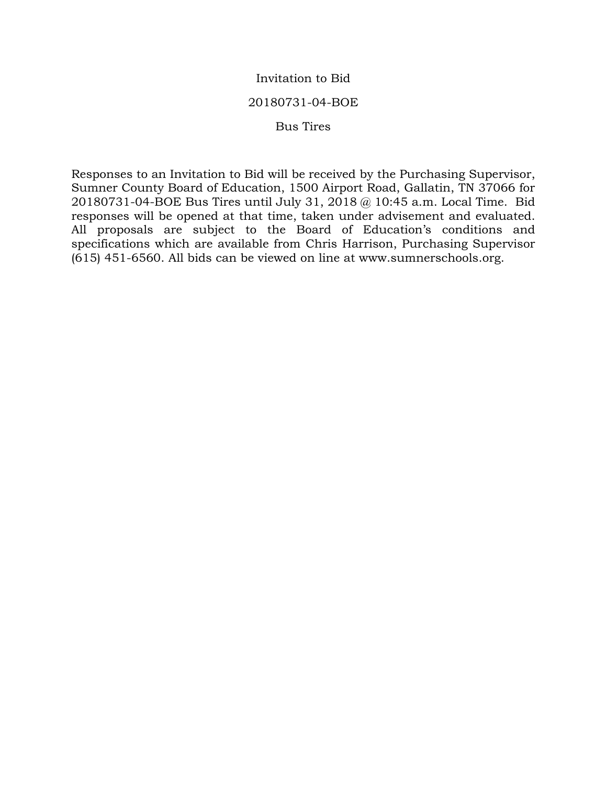### Invitation to Bid

#### 20180731-04-BOE

#### Bus Tires

Responses to an Invitation to Bid will be received by the Purchasing Supervisor, Sumner County Board of Education, 1500 Airport Road, Gallatin, TN 37066 for 20180731-04-BOE Bus Tires until July 31, 2018 @ 10:45 a.m. Local Time. Bid responses will be opened at that time, taken under advisement and evaluated. All proposals are subject to the Board of Education's conditions and specifications which are available from Chris Harrison, Purchasing Supervisor (615) 451-6560. All bids can be viewed on line at www.sumnerschools.org.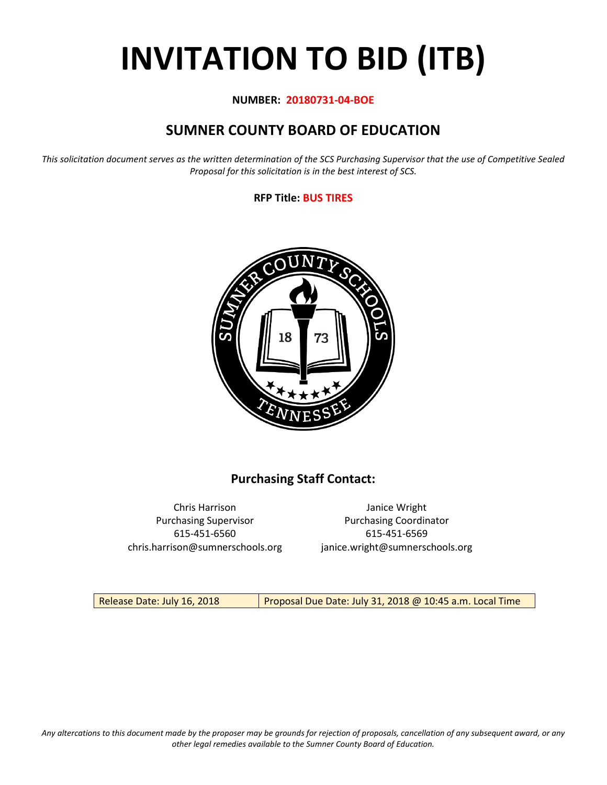# **INVITATION TO BID (ITB)**

#### **NUMBER: 20180731-04-BOE**

# **SUMNER COUNTY BOARD OF EDUCATION**

*This solicitation document serves as the written determination of the SCS Purchasing Supervisor that the use of Competitive Sealed Proposal for this solicitation is in the best interest of SCS.*

#### **RFP Title: BUS TIRES**



# **Purchasing Staff Contact:**

615-451-6560 615-451-6569 chris.harrison@sumnerschools.org janice.wright@sumnerschools.org

Chris Harrison Janice Wright Purchasing Supervisor **Purchasing Coordinator** 

Release Date: July 16, 2018 **Proposal Due Date: July 31, 2018 @ 10:45 a.m. Local Time**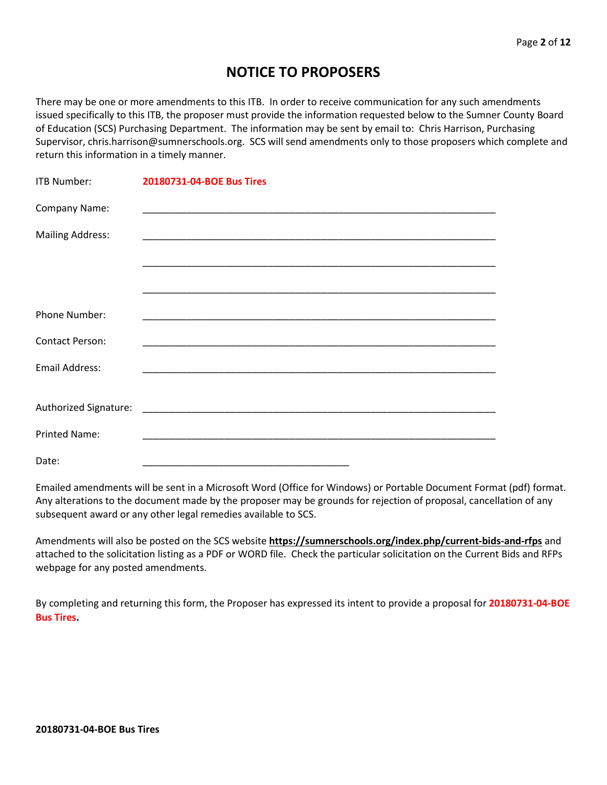# **NOTICE TO PROPOSERS**

There may be one or more amendments to this ITB. In order to receive communication for any such amendments issued specifically to this ITB, the proposer must provide the information requested below to the Sumner County Board of Education (SCS) Purchasing Department. The information may be sent by email to: Chris Harrison, Purchasing Supervisor, chris.harrison@sumnerschools.org. SCS will send amendments only to those proposers which complete and return this information in a timely manner.

| <b>ITB Number:</b>      | 20180731-04-BOE Bus Tires |
|-------------------------|---------------------------|
| Company Name:           |                           |
| <b>Mailing Address:</b> |                           |
|                         |                           |
|                         |                           |
| Phone Number:           |                           |
| <b>Contact Person:</b>  |                           |
| <b>Email Address:</b>   |                           |
|                         |                           |
|                         |                           |
| <b>Printed Name:</b>    |                           |
| Date:                   |                           |

Emailed amendments will be sent in a Microsoft Word (Office for Windows) or Portable Document Format (pdf) format. Any alterations to the document made by the proposer may be grounds for rejection of proposal, cancellation of any subsequent award or any other legal remedies available to SCS.

Amendments will also be posted on the SCS website **https://sumnerschools.org/index.php/current-bids-and-rfps** and attached to the solicitation listing as a PDF or WORD file. Check the particular solicitation on the Current Bids and RFPs webpage for any posted amendments.

By completing and returning this form, the Proposer has expressed its intent to provide a proposal for **20180731-04-BOE Bus Tires.**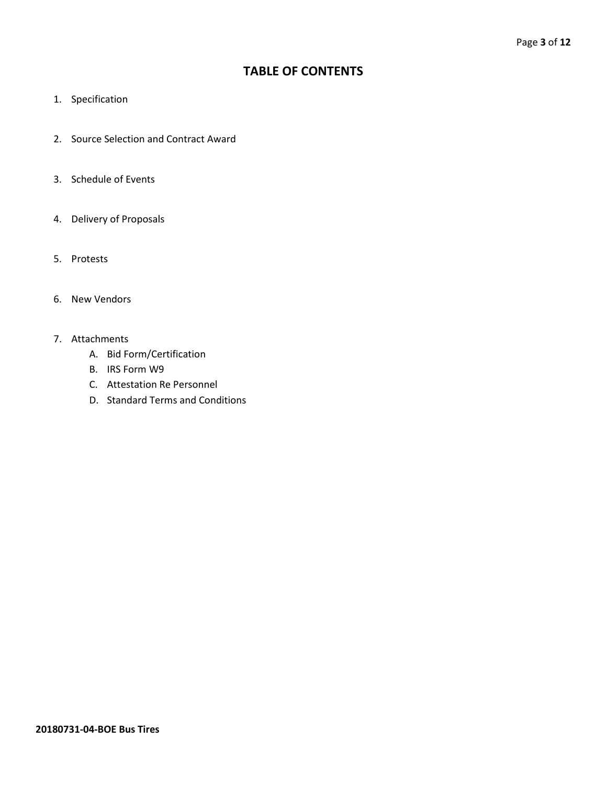# **TABLE OF CONTENTS**

- 1. Specification
- 2. Source Selection and Contract Award
- 3. Schedule of Events
- 4. Delivery of Proposals
- 5. Protests
- 6. New Vendors
- 7. Attachments
	- A. Bid Form/Certification
	- B. IRS Form W9
	- C. Attestation Re Personnel
	- D. Standard Terms and Conditions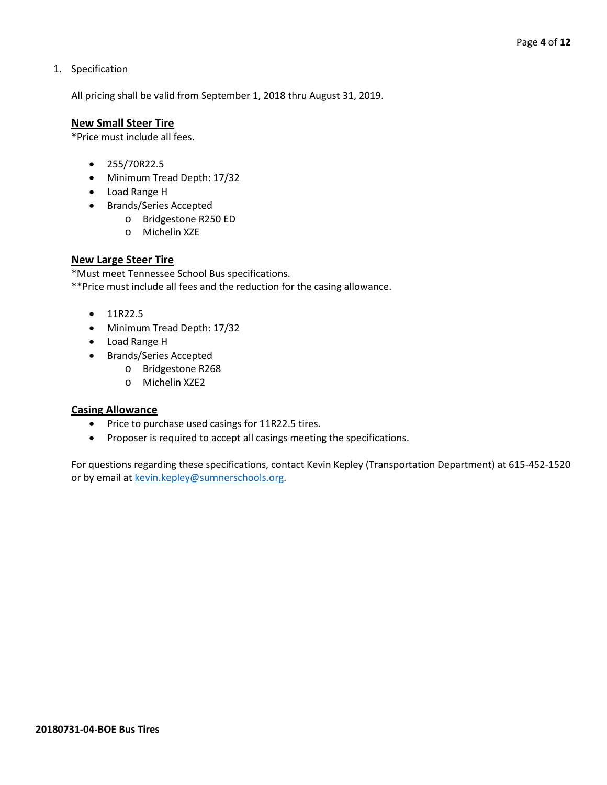#### 1. Specification

All pricing shall be valid from September 1, 2018 thru August 31, 2019.

#### **New Small Steer Tire**

\*Price must include all fees.

- 255/70R22.5
- Minimum Tread Depth: 17/32
- Load Range H
- Brands/Series Accepted
	- o Bridgestone R250 ED
	- o Michelin XZE

#### **New Large Steer Tire**

\*Must meet Tennessee School Bus specifications.

\*\*Price must include all fees and the reduction for the casing allowance.

- 11R22.5
- Minimum Tread Depth: 17/32
- Load Range H
- Brands/Series Accepted
	- o Bridgestone R268
	- o Michelin XZE2

#### **Casing Allowance**

- Price to purchase used casings for 11R22.5 tires.
- Proposer is required to accept all casings meeting the specifications.

For questions regarding these specifications, contact Kevin Kepley (Transportation Department) at 615-452-1520 or by email at [kevin.kepley@sumnerschools.org.](mailto:kevin.kepley@sumnerschools.org)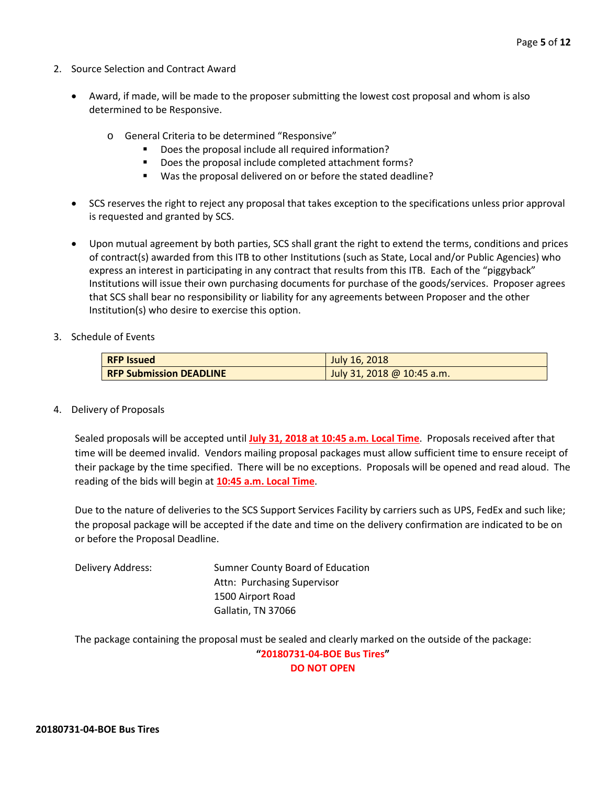- 2. Source Selection and Contract Award
	- Award, if made, will be made to the proposer submitting the lowest cost proposal and whom is also determined to be Responsive.
		- o General Criteria to be determined "Responsive"
			- Does the proposal include all required information?
			- Does the proposal include completed attachment forms?
			- Was the proposal delivered on or before the stated deadline?
	- SCS reserves the right to reject any proposal that takes exception to the specifications unless prior approval is requested and granted by SCS.
	- Upon mutual agreement by both parties, SCS shall grant the right to extend the terms, conditions and prices of contract(s) awarded from this ITB to other Institutions (such as State, Local and/or Public Agencies) who express an interest in participating in any contract that results from this ITB. Each of the "piggyback" Institutions will issue their own purchasing documents for purchase of the goods/services. Proposer agrees that SCS shall bear no responsibility or liability for any agreements between Proposer and the other Institution(s) who desire to exercise this option.
- 3. Schedule of Events

| <b>RFP Issued</b>              | July 16, 2018              |
|--------------------------------|----------------------------|
| <b>RFP Submission DEADLINE</b> | July 31, 2018 @ 10:45 a.m. |

4. Delivery of Proposals

Sealed proposals will be accepted until **July 31, 2018 at 10:45 a.m. Local Time**. Proposals received after that time will be deemed invalid. Vendors mailing proposal packages must allow sufficient time to ensure receipt of their package by the time specified. There will be no exceptions. Proposals will be opened and read aloud. The reading of the bids will begin at **10:45 a.m. Local Time**.

Due to the nature of deliveries to the SCS Support Services Facility by carriers such as UPS, FedEx and such like; the proposal package will be accepted if the date and time on the delivery confirmation are indicated to be on or before the Proposal Deadline.

Delivery Address: Sumner County Board of Education Attn: Purchasing Supervisor 1500 Airport Road Gallatin, TN 37066

The package containing the proposal must be sealed and clearly marked on the outside of the package: **"20180731-04-BOE Bus Tires" DO NOT OPEN**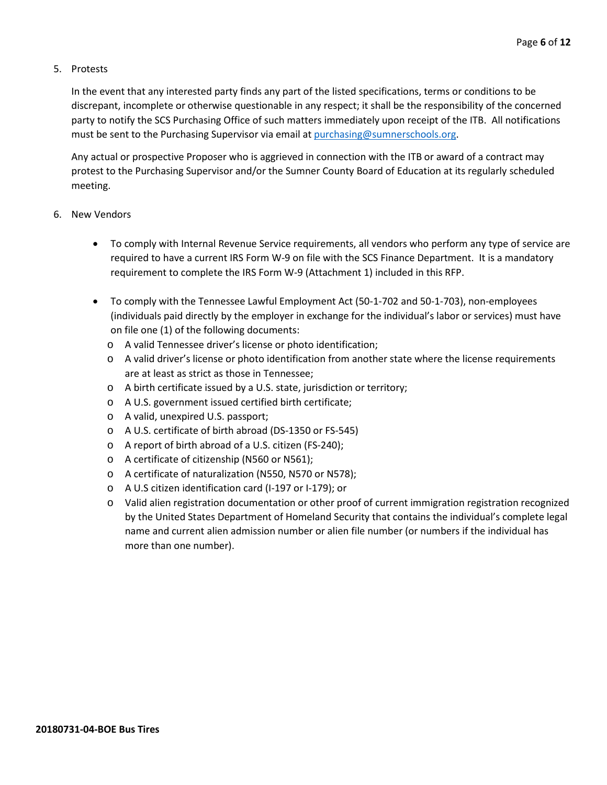#### 5. Protests

In the event that any interested party finds any part of the listed specifications, terms or conditions to be discrepant, incomplete or otherwise questionable in any respect; it shall be the responsibility of the concerned party to notify the SCS Purchasing Office of such matters immediately upon receipt of the ITB. All notifications must be sent to the Purchasing Supervisor via email at [purchasing@sumnerschools.org.](mailto:purchasing@sumnerschools.org)

Any actual or prospective Proposer who is aggrieved in connection with the ITB or award of a contract may protest to the Purchasing Supervisor and/or the Sumner County Board of Education at its regularly scheduled meeting.

#### 6. New Vendors

- To comply with Internal Revenue Service requirements, all vendors who perform any type of service are required to have a current IRS Form W-9 on file with the SCS Finance Department. It is a mandatory requirement to complete the IRS Form W-9 (Attachment 1) included in this RFP.
- To comply with the Tennessee Lawful Employment Act (50-1-702 and 50-1-703), non-employees (individuals paid directly by the employer in exchange for the individual's labor or services) must have on file one (1) of the following documents:
	- o A valid Tennessee driver's license or photo identification;
	- o A valid driver's license or photo identification from another state where the license requirements are at least as strict as those in Tennessee;
	- o A birth certificate issued by a U.S. state, jurisdiction or territory;
	- o A U.S. government issued certified birth certificate;
	- o A valid, unexpired U.S. passport;
	- o A U.S. certificate of birth abroad (DS-1350 or FS-545)
	- o A report of birth abroad of a U.S. citizen (FS-240);
	- o A certificate of citizenship (N560 or N561);
	- o A certificate of naturalization (N550, N570 or N578);
	- o A U.S citizen identification card (I-197 or I-179); or
	- o Valid alien registration documentation or other proof of current immigration registration recognized by the United States Department of Homeland Security that contains the individual's complete legal name and current alien admission number or alien file number (or numbers if the individual has more than one number).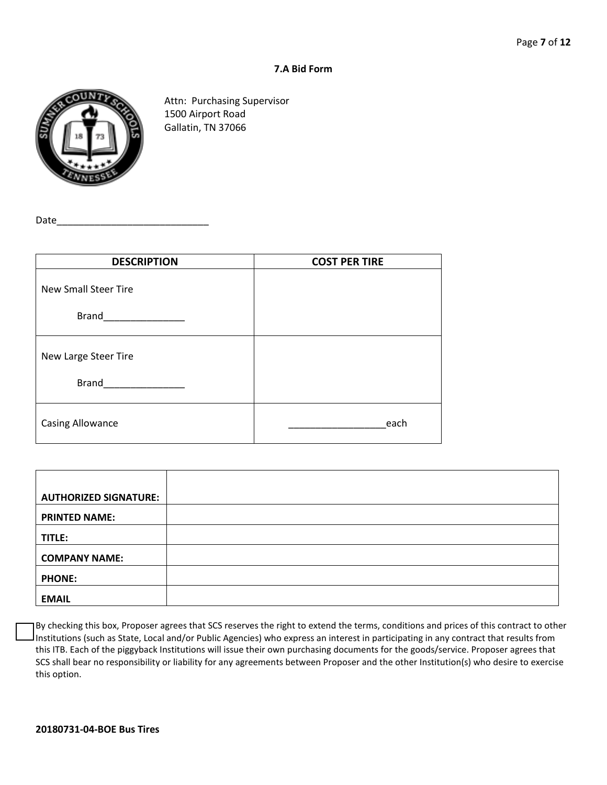#### **7.A Bid Form**



Attn: Purchasing Supervisor 1500 Airport Road Gallatin, TN 37066

Date

| <b>DESCRIPTION</b>                          | <b>COST PER TIRE</b> |
|---------------------------------------------|----------------------|
| <b>New Small Steer Tire</b><br><b>Brand</b> |                      |
|                                             |                      |
| New Large Steer Tire                        |                      |
| <b>Brand</b>                                |                      |
| <b>Casing Allowance</b>                     | each                 |

| <b>AUTHORIZED SIGNATURE:</b> |  |
|------------------------------|--|
| <b>PRINTED NAME:</b>         |  |
| TITLE:                       |  |
| <b>COMPANY NAME:</b>         |  |
| <b>PHONE:</b>                |  |
| <b>EMAIL</b>                 |  |

By checking this box, Proposer agrees that SCS reserves the right to extend the terms, conditions and prices of this contract to other Institutions (such as State, Local and/or Public Agencies) who express an interest in participating in any contract that results from this ITB. Each of the piggyback Institutions will issue their own purchasing documents for the goods/service. Proposer agrees that SCS shall bear no responsibility or liability for any agreements between Proposer and the other Institution(s) who desire to exercise this option.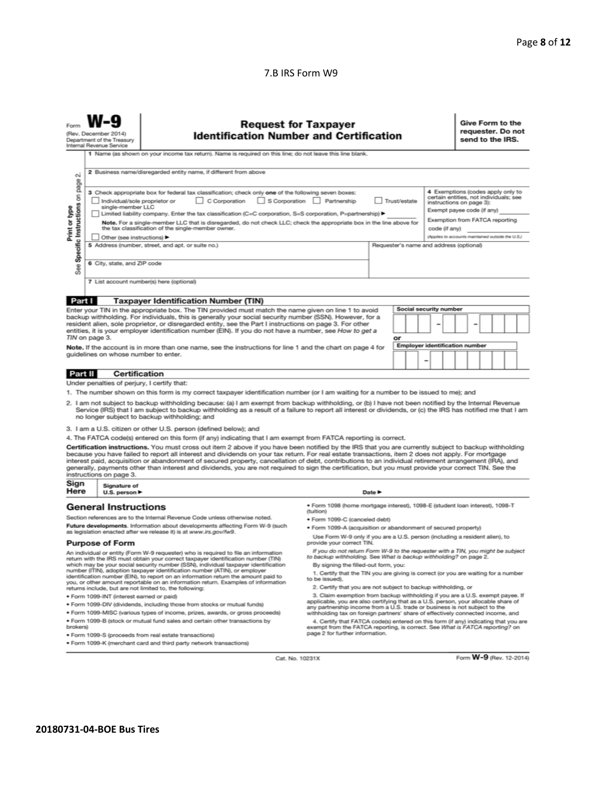#### 7.B IRS Form W9

| σû                                                                                                                                                                                                                                                                                                                                                                                                                                                                                                                                                                                                                                                                                                                                                                                                                                                                                                                                                                                                                                        | <b>Request for Taxpayer</b><br>(Rev. December 2014)<br><b>Identification Number and Certification</b><br>Department of the Treasury<br>Internal Revenue Service<br>1 Name (as shown on your income tax return). Name is required on this line; do not leave this line blank.<br>2 Business name/disregarded entity name, if different from above |                                                                                                                                                                                                                                                                                                                                                                       |                                                                                                                                                                                                        |                            |  |                        |  | send to the IRS. |  | Give Form to the<br>requester. Do not |  |
|-------------------------------------------------------------------------------------------------------------------------------------------------------------------------------------------------------------------------------------------------------------------------------------------------------------------------------------------------------------------------------------------------------------------------------------------------------------------------------------------------------------------------------------------------------------------------------------------------------------------------------------------------------------------------------------------------------------------------------------------------------------------------------------------------------------------------------------------------------------------------------------------------------------------------------------------------------------------------------------------------------------------------------------------|--------------------------------------------------------------------------------------------------------------------------------------------------------------------------------------------------------------------------------------------------------------------------------------------------------------------------------------------------|-----------------------------------------------------------------------------------------------------------------------------------------------------------------------------------------------------------------------------------------------------------------------------------------------------------------------------------------------------------------------|--------------------------------------------------------------------------------------------------------------------------------------------------------------------------------------------------------|----------------------------|--|------------------------|--|------------------|--|---------------------------------------|--|
| page<br>4 Exemptions (codes apply only to<br>3 Check appropriate box for federal tax classification; check only one of the following seven boxes:<br>Specific Instructions on<br>certain entities, not individuals; see<br>C Corporation<br>S Corporation Partnership<br>Individual/sole proprietor or<br>Trust/estate<br>instructions on page 3):<br>single-member LLC<br>Print or type<br>Exempt payee code (if any)<br>Limited liability company. Enter the tax classification (C=C corporation, S=S corporation, P=partnership) ▶<br>Exemption from FATCA reporting<br>Note. For a single-member LLC that is disregarded, do not check LLC; check the appropriate box in the line above for<br>the tax classification of the single-member owner.<br>code (if anv)<br>(Applies to accounts maintained outside the U.S.)<br>Other (see instructions)<br>5 Address (number, street, and apt. or suite no.)<br>Requester's name and address (optional)<br>6 City, state, and ZIP code<br>See<br>7 List account number(s) here (optional) |                                                                                                                                                                                                                                                                                                                                                  |                                                                                                                                                                                                                                                                                                                                                                       |                                                                                                                                                                                                        |                            |  |                        |  |                  |  |                                       |  |
| Part I                                                                                                                                                                                                                                                                                                                                                                                                                                                                                                                                                                                                                                                                                                                                                                                                                                                                                                                                                                                                                                    |                                                                                                                                                                                                                                                                                                                                                  | <b>Taxpayer Identification Number (TIN)</b>                                                                                                                                                                                                                                                                                                                           |                                                                                                                                                                                                        |                            |  |                        |  |                  |  |                                       |  |
|                                                                                                                                                                                                                                                                                                                                                                                                                                                                                                                                                                                                                                                                                                                                                                                                                                                                                                                                                                                                                                           |                                                                                                                                                                                                                                                                                                                                                  |                                                                                                                                                                                                                                                                                                                                                                       |                                                                                                                                                                                                        |                            |  | Social security number |  |                  |  |                                       |  |
| Enter your TIN in the appropriate box. The TIN provided must match the name given on line 1 to avoid<br>backup withholding. For individuals, this is generally your social security number (SSN). However, for a<br>resident alien, sole proprietor, or disregarded entity, see the Part I instructions on page 3. For other<br>entities, it is your employer identification number (EIN). If you do not have a number, see How to get a<br>TIN on page 3.                                                                                                                                                                                                                                                                                                                                                                                                                                                                                                                                                                                |                                                                                                                                                                                                                                                                                                                                                  |                                                                                                                                                                                                                                                                                                                                                                       | or                                                                                                                                                                                                     |                            |  |                        |  |                  |  |                                       |  |
| <b>Employer identification number</b><br>Note. If the account is in more than one name, see the instructions for line 1 and the chart on page 4 for<br>guidelines on whose number to enter.                                                                                                                                                                                                                                                                                                                                                                                                                                                                                                                                                                                                                                                                                                                                                                                                                                               |                                                                                                                                                                                                                                                                                                                                                  |                                                                                                                                                                                                                                                                                                                                                                       |                                                                                                                                                                                                        |                            |  |                        |  |                  |  |                                       |  |
| <b>Part II</b>                                                                                                                                                                                                                                                                                                                                                                                                                                                                                                                                                                                                                                                                                                                                                                                                                                                                                                                                                                                                                            | <b>Certification</b>                                                                                                                                                                                                                                                                                                                             |                                                                                                                                                                                                                                                                                                                                                                       |                                                                                                                                                                                                        |                            |  |                        |  |                  |  |                                       |  |
|                                                                                                                                                                                                                                                                                                                                                                                                                                                                                                                                                                                                                                                                                                                                                                                                                                                                                                                                                                                                                                           | Under penalties of perjury, I certify that:                                                                                                                                                                                                                                                                                                      |                                                                                                                                                                                                                                                                                                                                                                       |                                                                                                                                                                                                        |                            |  |                        |  |                  |  |                                       |  |
|                                                                                                                                                                                                                                                                                                                                                                                                                                                                                                                                                                                                                                                                                                                                                                                                                                                                                                                                                                                                                                           |                                                                                                                                                                                                                                                                                                                                                  | 1. The number shown on this form is my correct taxpayer identification number (or I am waiting for a number to be issued to me); and                                                                                                                                                                                                                                  |                                                                                                                                                                                                        |                            |  |                        |  |                  |  |                                       |  |
| 2. I am not subject to backup withholding because: (a) I am exempt from backup withholding, or (b) I have not been notified by the Internal Revenue<br>Service (IRS) that I am subject to backup withholding as a result of a failure to report all interest or dividends, or (c) the IRS has notified me that I am<br>no longer subject to backup withholding; and                                                                                                                                                                                                                                                                                                                                                                                                                                                                                                                                                                                                                                                                       |                                                                                                                                                                                                                                                                                                                                                  |                                                                                                                                                                                                                                                                                                                                                                       |                                                                                                                                                                                                        |                            |  |                        |  |                  |  |                                       |  |
|                                                                                                                                                                                                                                                                                                                                                                                                                                                                                                                                                                                                                                                                                                                                                                                                                                                                                                                                                                                                                                           |                                                                                                                                                                                                                                                                                                                                                  | 3. I am a U.S. citizen or other U.S. person (defined below); and                                                                                                                                                                                                                                                                                                      |                                                                                                                                                                                                        |                            |  |                        |  |                  |  |                                       |  |
|                                                                                                                                                                                                                                                                                                                                                                                                                                                                                                                                                                                                                                                                                                                                                                                                                                                                                                                                                                                                                                           |                                                                                                                                                                                                                                                                                                                                                  | 4. The FATCA code(s) entered on this form (if any) indicating that I am exempt from FATCA reporting is correct.                                                                                                                                                                                                                                                       |                                                                                                                                                                                                        |                            |  |                        |  |                  |  |                                       |  |
| Certification instructions. You must cross out item 2 above if you have been notified by the IRS that you are currently subject to backup withholding<br>because you have failed to report all interest and dividends on your tax return. For real estate transactions, item 2 does not apply. For mortgage<br>interest paid, acquisition or abandonment of secured property, cancellation of debt, contributions to an individual retirement arrangement (IRA), and<br>generally, payments other than interest and dividends, you are not required to sign the certification, but you must provide your correct TIN. See the<br>instructions on page 3.                                                                                                                                                                                                                                                                                                                                                                                  |                                                                                                                                                                                                                                                                                                                                                  |                                                                                                                                                                                                                                                                                                                                                                       |                                                                                                                                                                                                        |                            |  |                        |  |                  |  |                                       |  |
| Sign<br>Here                                                                                                                                                                                                                                                                                                                                                                                                                                                                                                                                                                                                                                                                                                                                                                                                                                                                                                                                                                                                                              | Signature of<br>U.S. person $\blacktriangleright$                                                                                                                                                                                                                                                                                                |                                                                                                                                                                                                                                                                                                                                                                       |                                                                                                                                                                                                        | Date $\blacktriangleright$ |  |                        |  |                  |  |                                       |  |
|                                                                                                                                                                                                                                                                                                                                                                                                                                                                                                                                                                                                                                                                                                                                                                                                                                                                                                                                                                                                                                           | <b>General Instructions</b>                                                                                                                                                                                                                                                                                                                      |                                                                                                                                                                                                                                                                                                                                                                       | · Form 1098 (home mortgage interest), 1098-E (student loan interest), 1098-T<br>(tuition)                                                                                                              |                            |  |                        |  |                  |  |                                       |  |
|                                                                                                                                                                                                                                                                                                                                                                                                                                                                                                                                                                                                                                                                                                                                                                                                                                                                                                                                                                                                                                           |                                                                                                                                                                                                                                                                                                                                                  | Section references are to the Internal Revenue Code unless otherwise noted.                                                                                                                                                                                                                                                                                           | • Form 1099-C (canceled debt)                                                                                                                                                                          |                            |  |                        |  |                  |  |                                       |  |
| Future developments. Information about developments affecting Form W-9 (such<br>as legislation enacted after we release it) is at www.irs.gov/fw9.                                                                                                                                                                                                                                                                                                                                                                                                                                                                                                                                                                                                                                                                                                                                                                                                                                                                                        |                                                                                                                                                                                                                                                                                                                                                  |                                                                                                                                                                                                                                                                                                                                                                       | . Form 1099-A (acquisition or abandonment of secured property)                                                                                                                                         |                            |  |                        |  |                  |  |                                       |  |
| <b>Purpose of Form</b>                                                                                                                                                                                                                                                                                                                                                                                                                                                                                                                                                                                                                                                                                                                                                                                                                                                                                                                                                                                                                    |                                                                                                                                                                                                                                                                                                                                                  |                                                                                                                                                                                                                                                                                                                                                                       | Use Form W-9 only if you are a U.S. person (including a resident alien), to<br>provide your correct TIN.                                                                                               |                            |  |                        |  |                  |  |                                       |  |
| An individual or entity (Form W-9 requester) who is required to file an information<br>return with the IRS must obtain your correct taxpayer identification number (TIN)<br>which may be your social security number (SSN), individual taxpayer identification<br>number (ITIN), adoption taxpayer identification number (ATIN), or employer<br>identification number (EIN), to report on an information return the amount paid to<br>you, or other amount reportable on an information return. Examples of information<br>returns include, but are not limited to, the following:                                                                                                                                                                                                                                                                                                                                                                                                                                                        |                                                                                                                                                                                                                                                                                                                                                  | If you do not return Form W-9 to the requester with a TIN, you might be subject<br>to backup withholding. See What is backup withholding? on page 2.<br>By signing the filled-out form, you:<br>1. Certify that the TIN you are giving is correct (or you are waiting for a number<br>to be issued).<br>2. Certify that you are not subject to backup withholding, or |                                                                                                                                                                                                        |                            |  |                        |  |                  |  |                                       |  |
|                                                                                                                                                                                                                                                                                                                                                                                                                                                                                                                                                                                                                                                                                                                                                                                                                                                                                                                                                                                                                                           | · Form 1099-INT (interest earned or paid)                                                                                                                                                                                                                                                                                                        |                                                                                                                                                                                                                                                                                                                                                                       | 3. Claim exemption from backup withholding if you are a U.S. exempt payee. If<br>applicable, you are also certifying that as a U.S. person, your allocable share of                                    |                            |  |                        |  |                  |  |                                       |  |
| . Form 1099-DIV (dividends, including those from stocks or mutual funds)                                                                                                                                                                                                                                                                                                                                                                                                                                                                                                                                                                                                                                                                                                                                                                                                                                                                                                                                                                  |                                                                                                                                                                                                                                                                                                                                                  |                                                                                                                                                                                                                                                                                                                                                                       | any partnership income from a U.S. trade or business is not subject to the                                                                                                                             |                            |  |                        |  |                  |  |                                       |  |
| . Form 1099-MISC (various types of income, prizes, awards, or gross proceeds)<br>withholding tax on foreign partners' share of effectively connected income, and                                                                                                                                                                                                                                                                                                                                                                                                                                                                                                                                                                                                                                                                                                                                                                                                                                                                          |                                                                                                                                                                                                                                                                                                                                                  |                                                                                                                                                                                                                                                                                                                                                                       |                                                                                                                                                                                                        |                            |  |                        |  |                  |  |                                       |  |
| . Form 1099-B (stock or mutual fund sales and certain other transactions by<br>brokers)<br>· Form 1099-S (proceeds from real estate transactions)                                                                                                                                                                                                                                                                                                                                                                                                                                                                                                                                                                                                                                                                                                                                                                                                                                                                                         |                                                                                                                                                                                                                                                                                                                                                  |                                                                                                                                                                                                                                                                                                                                                                       | 4. Certify that FATCA code(s) entered on this form (if any) indicating that you are<br>exempt from the FATCA reporting, is correct. See What is FATCA reporting? on<br>page 2 for further information. |                            |  |                        |  |                  |  |                                       |  |

Cat. No. 10231X

Form W-9 (Rev. 12-2014)

· Form 1099-K (merchant card and third party network transactions)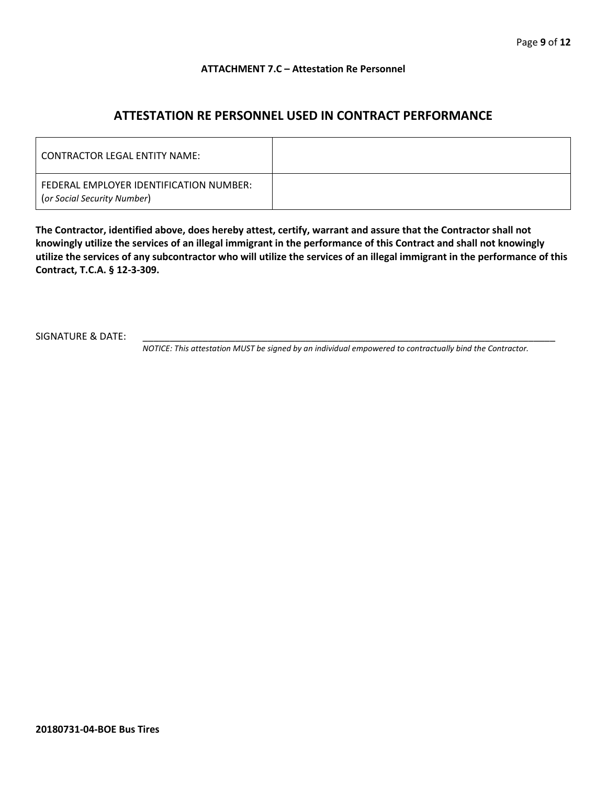#### **ATTACHMENT 7.C – Attestation Re Personnel**

# **ATTESTATION RE PERSONNEL USED IN CONTRACT PERFORMANCE**

| CONTRACTOR LEGAL ENTITY NAME:                                          |  |
|------------------------------------------------------------------------|--|
| FEDERAL EMPLOYER IDENTIFICATION NUMBER:<br>(or Social Security Number) |  |

**The Contractor, identified above, does hereby attest, certify, warrant and assure that the Contractor shall not knowingly utilize the services of an illegal immigrant in the performance of this Contract and shall not knowingly utilize the services of any subcontractor who will utilize the services of an illegal immigrant in the performance of this Contract, T.C.A. § 12-3-309.**

SIGNATURE & DATE:

*NOTICE: This attestation MUST be signed by an individual empowered to contractually bind the Contractor.*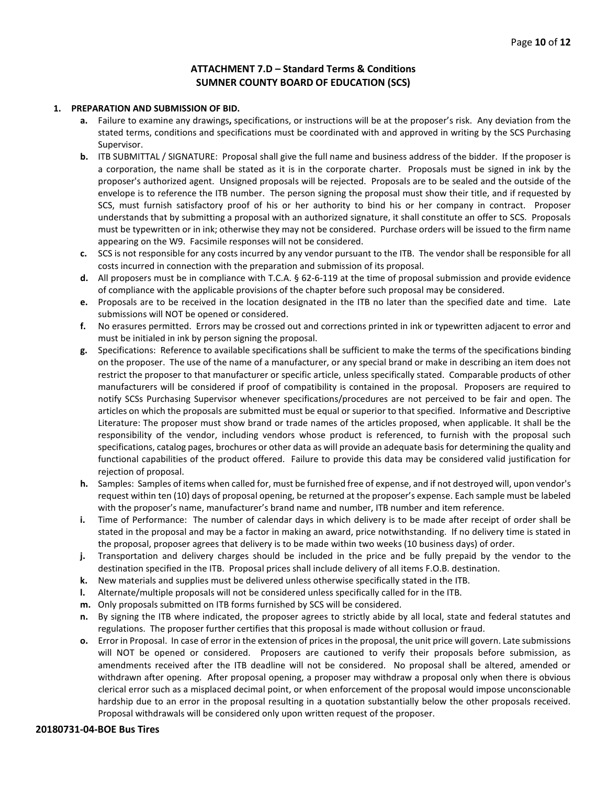#### **ATTACHMENT 7.D – Standard Terms & Conditions SUMNER COUNTY BOARD OF EDUCATION (SCS)**

#### **1. PREPARATION AND SUBMISSION OF BID.**

- **a.** Failure to examine any drawings**,** specifications, or instructions will be at the proposer's risk. Any deviation from the stated terms, conditions and specifications must be coordinated with and approved in writing by the SCS Purchasing Supervisor.
- **b.** ITB SUBMITTAL / SIGNATURE: Proposal shall give the full name and business address of the bidder. If the proposer is a corporation, the name shall be stated as it is in the corporate charter. Proposals must be signed in ink by the proposer's authorized agent. Unsigned proposals will be rejected. Proposals are to be sealed and the outside of the envelope is to reference the ITB number. The person signing the proposal must show their title, and if requested by SCS, must furnish satisfactory proof of his or her authority to bind his or her company in contract. Proposer understands that by submitting a proposal with an authorized signature, it shall constitute an offer to SCS. Proposals must be typewritten or in ink; otherwise they may not be considered. Purchase orders will be issued to the firm name appearing on the W9. Facsimile responses will not be considered.
- **c.** SCS is not responsible for any costs incurred by any vendor pursuant to the ITB. The vendor shall be responsible for all costs incurred in connection with the preparation and submission of its proposal.
- **d.** All proposers must be in compliance with T.C.A. § 62-6-119 at the time of proposal submission and provide evidence of compliance with the applicable provisions of the chapter before such proposal may be considered.
- **e.** Proposals are to be received in the location designated in the ITB no later than the specified date and time. Late submissions will NOT be opened or considered.
- **f.** No erasures permitted. Errors may be crossed out and corrections printed in ink or typewritten adjacent to error and must be initialed in ink by person signing the proposal.
- **g.** Specifications: Reference to available specifications shall be sufficient to make the terms of the specifications binding on the proposer. The use of the name of a manufacturer, or any special brand or make in describing an item does not restrict the proposer to that manufacturer or specific article, unless specifically stated. Comparable products of other manufacturers will be considered if proof of compatibility is contained in the proposal. Proposers are required to notify SCSs Purchasing Supervisor whenever specifications/procedures are not perceived to be fair and open. The articles on which the proposals are submitted must be equal or superior to that specified. Informative and Descriptive Literature: The proposer must show brand or trade names of the articles proposed, when applicable. It shall be the responsibility of the vendor, including vendors whose product is referenced, to furnish with the proposal such specifications, catalog pages, brochures or other data as will provide an adequate basis for determining the quality and functional capabilities of the product offered. Failure to provide this data may be considered valid justification for rejection of proposal.
- **h.** Samples: Samples of items when called for, must be furnished free of expense, and if not destroyed will, upon vendor's request within ten (10) days of proposal opening, be returned at the proposer's expense. Each sample must be labeled with the proposer's name, manufacturer's brand name and number, ITB number and item reference.
- **i.** Time of Performance: The number of calendar days in which delivery is to be made after receipt of order shall be stated in the proposal and may be a factor in making an award, price notwithstanding. If no delivery time is stated in the proposal, proposer agrees that delivery is to be made within two weeks (10 business days) of order.
- **j.** Transportation and delivery charges should be included in the price and be fully prepaid by the vendor to the destination specified in the ITB. Proposal prices shall include delivery of all items F.O.B. destination.
- **k.** New materials and supplies must be delivered unless otherwise specifically stated in the ITB.
- **l.** Alternate/multiple proposals will not be considered unless specifically called for in the ITB.
- **m.** Only proposals submitted on ITB forms furnished by SCS will be considered.
- **n.** By signing the ITB where indicated, the proposer agrees to strictly abide by all local, state and federal statutes and regulations. The proposer further certifies that this proposal is made without collusion or fraud.
- **o.** Error in Proposal. In case of error in the extension of prices in the proposal, the unit price will govern. Late submissions will NOT be opened or considered. Proposers are cautioned to verify their proposals before submission, as amendments received after the ITB deadline will not be considered. No proposal shall be altered, amended or withdrawn after opening. After proposal opening, a proposer may withdraw a proposal only when there is obvious clerical error such as a misplaced decimal point, or when enforcement of the proposal would impose unconscionable hardship due to an error in the proposal resulting in a quotation substantially below the other proposals received. Proposal withdrawals will be considered only upon written request of the proposer.

#### **20180731-04-BOE Bus Tires**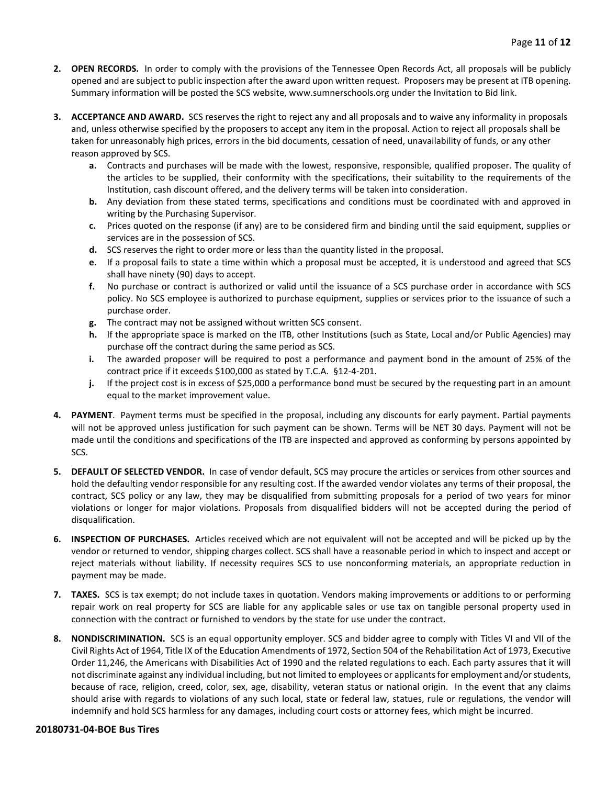- **2. OPEN RECORDS.** In order to comply with the provisions of the Tennessee Open Records Act, all proposals will be publicly opened and are subject to public inspection after the award upon written request. Proposers may be present at ITB opening. Summary information will be posted the SCS website, www.sumnerschools.org under the Invitation to Bid link.
- **3. ACCEPTANCE AND AWARD.** SCS reserves the right to reject any and all proposals and to waive any informality in proposals and, unless otherwise specified by the proposers to accept any item in the proposal. Action to reject all proposals shall be taken for unreasonably high prices, errors in the bid documents, cessation of need, unavailability of funds, or any other reason approved by SCS.
	- **a.** Contracts and purchases will be made with the lowest, responsive, responsible, qualified proposer. The quality of the articles to be supplied, their conformity with the specifications, their suitability to the requirements of the Institution, cash discount offered, and the delivery terms will be taken into consideration.
	- **b.** Any deviation from these stated terms, specifications and conditions must be coordinated with and approved in writing by the Purchasing Supervisor.
	- **c.** Prices quoted on the response (if any) are to be considered firm and binding until the said equipment, supplies or services are in the possession of SCS.
	- **d.** SCS reserves the right to order more or less than the quantity listed in the proposal.
	- **e.** If a proposal fails to state a time within which a proposal must be accepted, it is understood and agreed that SCS shall have ninety (90) days to accept.
	- **f.** No purchase or contract is authorized or valid until the issuance of a SCS purchase order in accordance with SCS policy. No SCS employee is authorized to purchase equipment, supplies or services prior to the issuance of such a purchase order.
	- **g.** The contract may not be assigned without written SCS consent.
	- **h.** If the appropriate space is marked on the ITB, other Institutions (such as State, Local and/or Public Agencies) may purchase off the contract during the same period as SCS.
	- **i.** The awarded proposer will be required to post a performance and payment bond in the amount of 25% of the contract price if it exceeds \$100,000 as stated by T.C.A. §12-4-201.
	- **j.** If the project cost is in excess of \$25,000 a performance bond must be secured by the requesting part in an amount equal to the market improvement value.
- **4. PAYMENT**. Payment terms must be specified in the proposal, including any discounts for early payment. Partial payments will not be approved unless justification for such payment can be shown. Terms will be NET 30 days. Payment will not be made until the conditions and specifications of the ITB are inspected and approved as conforming by persons appointed by SCS.
- **5. DEFAULT OF SELECTED VENDOR.** In case of vendor default, SCS may procure the articles or services from other sources and hold the defaulting vendor responsible for any resulting cost. If the awarded vendor violates any terms of their proposal, the contract, SCS policy or any law, they may be disqualified from submitting proposals for a period of two years for minor violations or longer for major violations. Proposals from disqualified bidders will not be accepted during the period of disqualification.
- **6. INSPECTION OF PURCHASES.** Articles received which are not equivalent will not be accepted and will be picked up by the vendor or returned to vendor, shipping charges collect. SCS shall have a reasonable period in which to inspect and accept or reject materials without liability. If necessity requires SCS to use nonconforming materials, an appropriate reduction in payment may be made.
- **7. TAXES.** SCS is tax exempt; do not include taxes in quotation. Vendors making improvements or additions to or performing repair work on real property for SCS are liable for any applicable sales or use tax on tangible personal property used in connection with the contract or furnished to vendors by the state for use under the contract.
- **8. NONDISCRIMINATION.** SCS is an equal opportunity employer. SCS and bidder agree to comply with Titles VI and VII of the Civil Rights Act of 1964, Title IX of the Education Amendments of 1972, Section 504 of the Rehabilitation Act of 1973, Executive Order 11,246, the Americans with Disabilities Act of 1990 and the related regulations to each. Each party assures that it will not discriminate against any individual including, but not limited to employees or applicants for employment and/or students, because of race, religion, creed, color, sex, age, disability, veteran status or national origin. In the event that any claims should arise with regards to violations of any such local, state or federal law, statues, rule or regulations, the vendor will indemnify and hold SCS harmless for any damages, including court costs or attorney fees, which might be incurred.

#### **20180731-04-BOE Bus Tires**